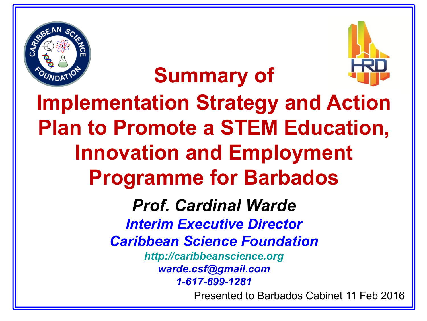



**Implementation Strategy and Action Plan to Promote a STEM Education, Innovation and Employment Programme for Barbados** 

**Summary of** 

*Prof. Cardinal Warde Interim Executive Director Caribbean Science Foundation [http://caribbeanscience.org](http://caribbeanscience.org/) warde.csf@gmail.com 1-617-699-1281*

Presented to Barbados Cabinet 11 Feb 2016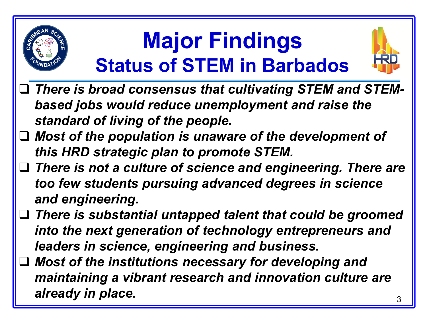## **Major Findings Status of STEM in Barbados**



- *There is broad consensus that cultivating STEM and STEMbased jobs would reduce unemployment and raise the standard of living of the people.*
- *Most of the population is unaware of the development of this HRD strategic plan to promote STEM.*
- *There is not a culture of science and engineering. There are too few students pursuing advanced degrees in science and engineering.*
- *There is substantial untapped talent that could be groomed into the next generation of technology entrepreneurs and leaders in science, engineering and business.*
- *Most of the institutions necessary for developing and maintaining a vibrant research and innovation culture are*  already in place.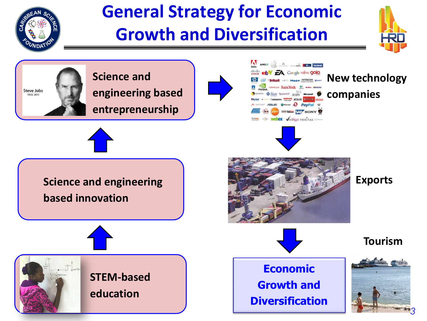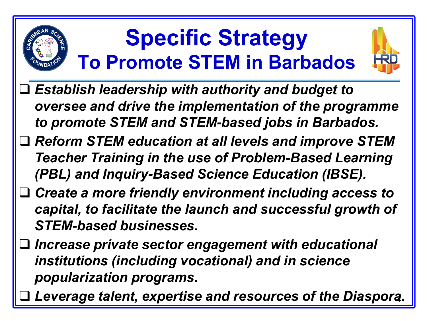# **Specific Strategy To Promote STEM in Barbados**



- *Establish leadership with authority and budget to oversee and drive the implementation of the programme to promote STEM and STEM-based jobs in Barbados.*
- *Reform STEM education at all levels and improve STEM Teacher Training in the use of Problem-Based Learning (PBL) and Inquiry-Based Science Education (IBSE).*
- *Create a more friendly environment including access to capital, to facilitate the launch and successful growth of STEM-based businesses.*
- *Increase private sector engagement with educational institutions (including vocational) and in science popularization programs.*
- *Leverage talent, expertise and resources of the Diaspora.*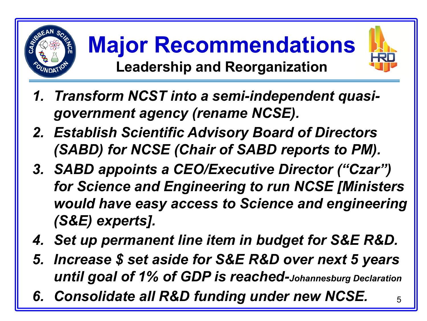

**Major Recommendations Leadership and Reorganization**



- *2. Establish Scientific Advisory Board of Directors (SABD) for NCSE (Chair of SABD reports to PM).*
- *3. SABD appoints a CEO/Executive Director ("Czar") for Science and Engineering to run NCSE [Ministers would have easy access to Science and engineering (S&E) experts].*
- *4. Set up permanent line item in budget for S&E R&D.*
- *5. Increase \$ set aside for S&E R&D over next 5 years until goal of 1% of GDP is reached-Johannesburg Declaration*
- 6. Consolidate all R&D funding under new NCSE.  $_{5}$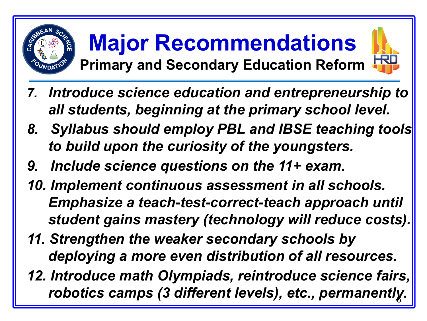

#### **Major Recommendations Primary and Secondary Education Reform**



- *7. Introduce science education and entrepreneurship to all students, beginning at the primary school level.*
- 8. Syllabus should employ PBL and IBSE teaching tools *to build upon the curiosity of the youngsters.*
- *9. Include science questions on the 11+ exam.*
- *10. Implement continuous assessment in all schools. Emphasize a teach-test-correct-teach approach until student gains mastery (technology will reduce costs).*
- *11. Strengthen the weaker secondary schools by deploying a more even distribution of all resources.*
- *12. Introduce math Olympiads, reintroduce science fairs, robotics camps (3 different levels), etc., permanently.* <sup>6</sup>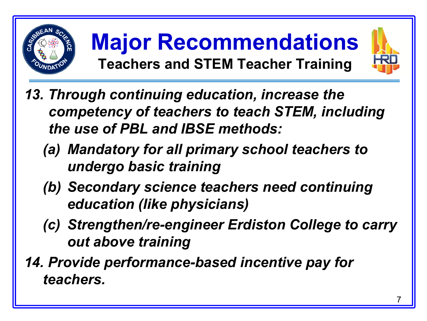

**Major Recommendations Teachers and STEM Teacher Training**



- *13. Through continuing education, increase the competency of teachers to teach STEM, including the use of PBL and IBSE methods:* 
	- *(a) Mandatory for all primary school teachers to undergo basic training*
	- *(b) Secondary science teachers need continuing education (like physicians)*
	- *(c) Strengthen/re-engineer Erdiston College to carry out above training*
- *14. Provide performance-based incentive pay for teachers.*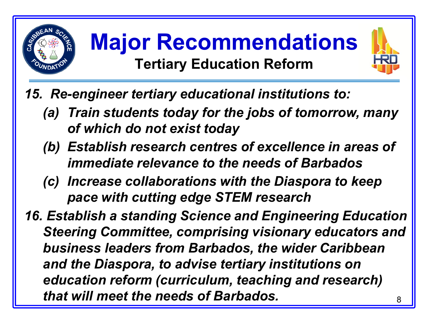

### **Major Recommendations Tertiary Education Reform**



- *15. Re-engineer tertiary educational institutions to:*
	- *(a) Train students today for the jobs of tomorrow, many of which do not exist today*
	- *(b) Establish research centres of excellence in areas of immediate relevance to the needs of Barbados*
	- *(c) Increase collaborations with the Diaspora to keep pace with cutting edge STEM research*
- *16. Establish a standing Science and Engineering Education Steering Committee, comprising visionary educators and business leaders from Barbados, the wider Caribbean and the Diaspora, to advise tertiary institutions on education reform (curriculum, teaching and research) that will meet the needs of Barbados.* <sup>8</sup>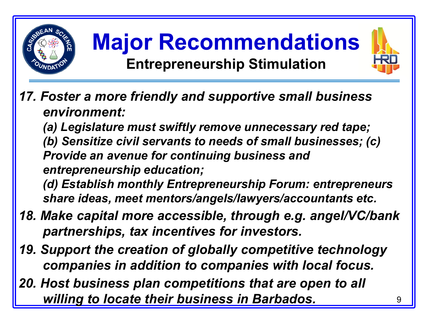





#### *17. Foster a more friendly and supportive small business environment:*

*(a) Legislature must swiftly remove unnecessary red tape; (b) Sensitize civil servants to needs of small businesses; (c) Provide an avenue for continuing business and entrepreneurship education;* 

*(d) Establish monthly Entrepreneurship Forum: entrepreneurs share ideas, meet mentors/angels/lawyers/accountants etc.*

- *18. Make capital more accessible, through e.g. angel/VC/bank partnerships, tax incentives for investors.*
- *19. Support the creation of globally competitive technology companies in addition to companies with local focus.*
- *20. Host business plan competitions that are open to all*  **willing to locate their business in Barbados.**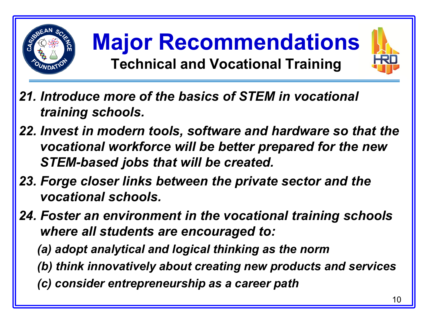

**Major Recommendations Technical and Vocational Training**



- *21. Introduce more of the basics of STEM in vocational training schools.*
- *22. Invest in modern tools, software and hardware so that the vocational workforce will be better prepared for the new STEM-based jobs that will be created.*
- *23. Forge closer links between the private sector and the vocational schools.*
- *24. Foster an environment in the vocational training schools where all students are encouraged to:*
	- *(a) adopt analytical and logical thinking as the norm*
	- *(b) think innovatively about creating new products and services*
	- *(c) consider entrepreneurship as a career path*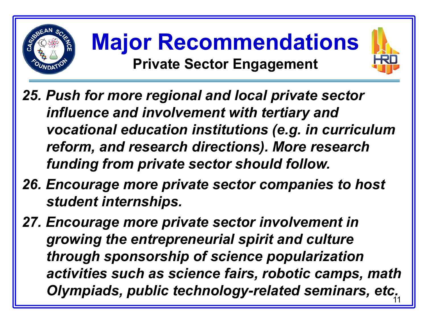





- *25. Push for more regional and local private sector influence and involvement with tertiary and vocational education institutions (e.g. in curriculum reform, and research directions). More research funding from private sector should follow.*
- *26. Encourage more private sector companies to host student internships.*
- *27. Encourage more private sector involvement in growing the entrepreneurial spirit and culture through sponsorship of science popularization activities such as science fairs, robotic camps, math*  **Olympiads, public technology-related seminars, etc.**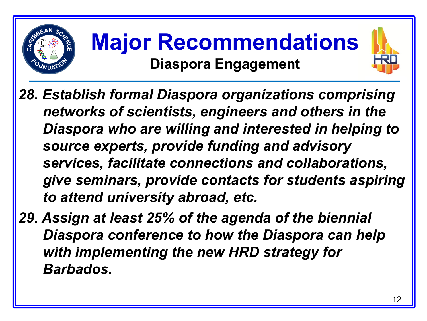

## **Major Recommendations Diaspora Engagement**



*29. Assign at least 25% of the agenda of the biennial Diaspora conference to how the Diaspora can help with implementing the new HRD strategy for Barbados.*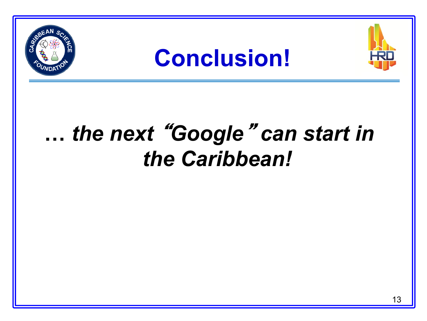